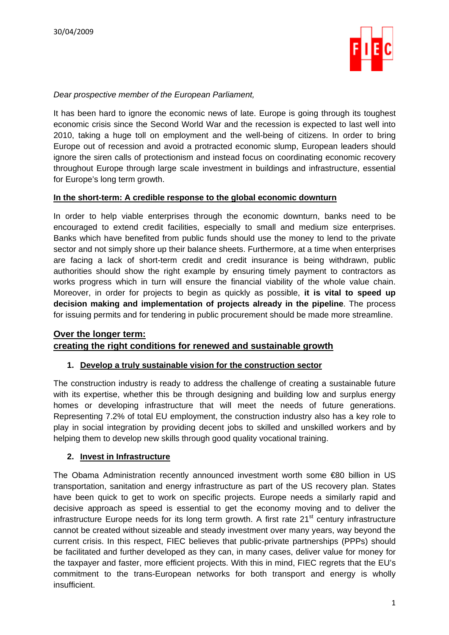

#### *Dear prospective member of the European Parliament,*

It has been hard to ignore the economic news of late. Europe is going through its toughest economic crisis since the Second World War and the recession is expected to last well into 2010, taking a huge toll on employment and the well-being of citizens. In order to bring Europe out of recession and avoid a protracted economic slump, European leaders should ignore the siren calls of protectionism and instead focus on coordinating economic recovery throughout Europe through large scale investment in buildings and infrastructure, essential for Europe's long term growth.

#### **In the short-term: A credible response to the global economic downturn**

In order to help viable enterprises through the economic downturn, banks need to be encouraged to extend credit facilities, especially to small and medium size enterprises. Banks which have benefited from public funds should use the money to lend to the private sector and not simply shore up their balance sheets. Furthermore, at a time when enterprises are facing a lack of short-term credit and credit insurance is being withdrawn, public authorities should show the right example by ensuring timely payment to contractors as works progress which in turn will ensure the financial viability of the whole value chain. Moreover, in order for projects to begin as quickly as possible, **it is vital to speed up decision making and implementation of projects already in the pipeline**. The process for issuing permits and for tendering in public procurement should be made more streamline.

## **Over the longer term: creating the right conditions for renewed and sustainable growth**

#### **1. Develop a truly sustainable vision for the construction sector**

The construction industry is ready to address the challenge of creating a sustainable future with its expertise, whether this be through designing and building low and surplus energy homes or developing infrastructure that will meet the needs of future generations. Representing 7.2% of total EU employment, the construction industry also has a key role to play in social integration by providing decent jobs to skilled and unskilled workers and by helping them to develop new skills through good quality vocational training.

#### **2. Invest in Infrastructure**

The Obama Administration recently announced investment worth some €80 billion in US transportation, sanitation and energy infrastructure as part of the US recovery plan. States have been quick to get to work on specific projects. Europe needs a similarly rapid and decisive approach as speed is essential to get the economy moving and to deliver the infrastructure Europe needs for its long term growth. A first rate  $21<sup>st</sup>$  century infrastructure cannot be created without sizeable and steady investment over many years, way beyond the current crisis. In this respect, FIEC believes that public-private partnerships (PPPs) should be facilitated and further developed as they can, in many cases, deliver value for money for the taxpayer and faster, more efficient projects. With this in mind, FIEC regrets that the EU's commitment to the trans-European networks for both transport and energy is wholly insufficient.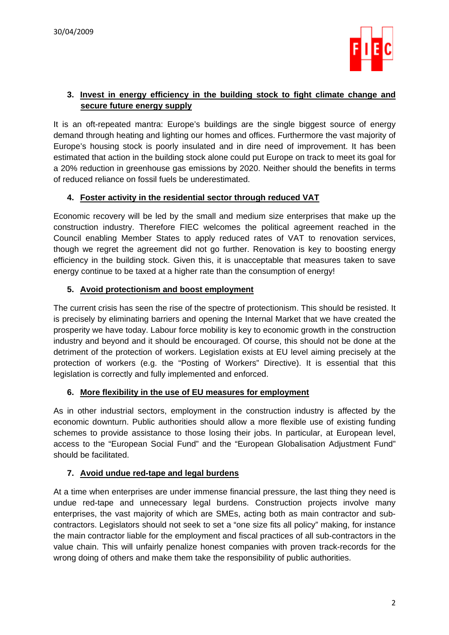

## **3. Invest in energy efficiency in the building stock to fight climate change and secure future energy supply**

It is an oft-repeated mantra: Europe's buildings are the single biggest source of energy demand through heating and lighting our homes and offices. Furthermore the vast majority of Europe's housing stock is poorly insulated and in dire need of improvement. It has been estimated that action in the building stock alone could put Europe on track to meet its goal for a 20% reduction in greenhouse gas emissions by 2020. Neither should the benefits in terms of reduced reliance on fossil fuels be underestimated.

## **4. Foster activity in the residential sector through reduced VAT**

Economic recovery will be led by the small and medium size enterprises that make up the construction industry. Therefore FIEC welcomes the political agreement reached in the Council enabling Member States to apply reduced rates of VAT to renovation services, though we regret the agreement did not go further. Renovation is key to boosting energy efficiency in the building stock. Given this, it is unacceptable that measures taken to save energy continue to be taxed at a higher rate than the consumption of energy!

## **5. Avoid protectionism and boost employment**

The current crisis has seen the rise of the spectre of protectionism. This should be resisted. It is precisely by eliminating barriers and opening the Internal Market that we have created the prosperity we have today. Labour force mobility is key to economic growth in the construction industry and beyond and it should be encouraged. Of course, this should not be done at the detriment of the protection of workers. Legislation exists at EU level aiming precisely at the protection of workers (e.g. the "Posting of Workers" Directive). It is essential that this legislation is correctly and fully implemented and enforced.

## **6. More flexibility in the use of EU measures for employment**

As in other industrial sectors, employment in the construction industry is affected by the economic downturn. Public authorities should allow a more flexible use of existing funding schemes to provide assistance to those losing their jobs. In particular, at European level, access to the "European Social Fund" and the "European Globalisation Adjustment Fund" should be facilitated.

## **7. Avoid undue red-tape and legal burdens**

At a time when enterprises are under immense financial pressure, the last thing they need is undue red-tape and unnecessary legal burdens. Construction projects involve many enterprises, the vast majority of which are SMEs, acting both as main contractor and subcontractors. Legislators should not seek to set a "one size fits all policy" making, for instance the main contractor liable for the employment and fiscal practices of all sub-contractors in the value chain. This will unfairly penalize honest companies with proven track-records for the wrong doing of others and make them take the responsibility of public authorities.